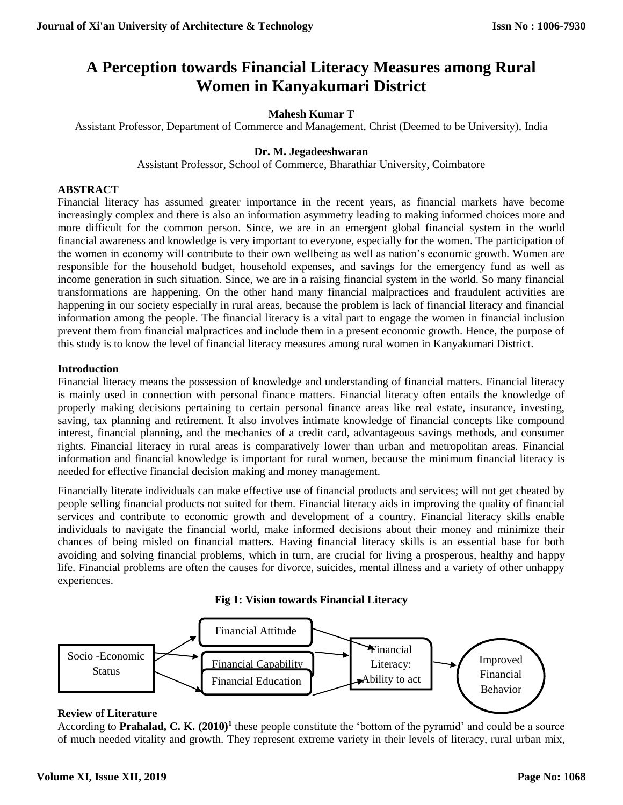# **A Perception towards Financial Literacy Measures among Rural Women in Kanyakumari District**

## **Mahesh Kumar T**

Assistant Professor, Department of Commerce and Management, Christ (Deemed to be University), India

## **Dr. M. Jegadeeshwaran**

Assistant Professor, School of Commerce, Bharathiar University, Coimbatore

## **ABSTRACT**

Financial literacy has assumed greater importance in the recent years, as financial markets have become increasingly complex and there is also an information asymmetry leading to making informed choices more and more difficult for the common person. Since, we are in an emergent global financial system in the world financial awareness and knowledge is very important to everyone, especially for the women. The participation of the women in economy will contribute to their own wellbeing as well as nation's economic growth. Women are responsible for the household budget, household expenses, and savings for the emergency fund as well as income generation in such situation. Since, we are in a raising financial system in the world. So many financial transformations are happening. On the other hand many financial malpractices and fraudulent activities are happening in our society especially in rural areas, because the problem is lack of financial literacy and financial information among the people. The financial literacy is a vital part to engage the women in financial inclusion prevent them from financial malpractices and include them in a present economic growth. Hence, the purpose of this study is to know the level of financial literacy measures among rural women in Kanyakumari District.

## **Introduction**

Financial literacy means the possession of knowledge and understanding of financial matters. Financial literacy is mainly used in connection with personal finance matters. Financial literacy often entails the knowledge of properly making decisions pertaining to certain personal finance areas like real estate, insurance, investing, saving, tax planning and retirement. It also involves intimate knowledge of financial concepts like compound interest, financial planning, and the mechanics of a credit card, advantageous savings methods, and consumer rights. Financial literacy in rural areas is comparatively lower than urban and metropolitan areas. Financial information and financial knowledge is important for rural women, because the minimum financial literacy is needed for effective financial decision making and money management.

Financially literate individuals can make effective use of financial products and services; will not get cheated by people selling financial products not suited for them. Financial literacy aids in improving the quality of financial services and contribute to economic growth and development of a country. Financial literacy skills enable individuals to navigate the financial world, make informed decisions about their money and minimize their chances of being misled on financial matters. Having financial literacy skills is an essential base for both avoiding and solving financial problems, which in turn, are crucial for living a prosperous, healthy and happy life. Financial problems are often the causes for divorce, suicides, mental illness and a variety of other unhappy experiences.





#### **Review of Literature**

According to **Prahalad, C. K. (2010)<sup>1</sup>** these people constitute the 'bottom of the pyramid' and could be a source of much needed vitality and growth. They represent extreme variety in their levels of literacy, rural urban mix,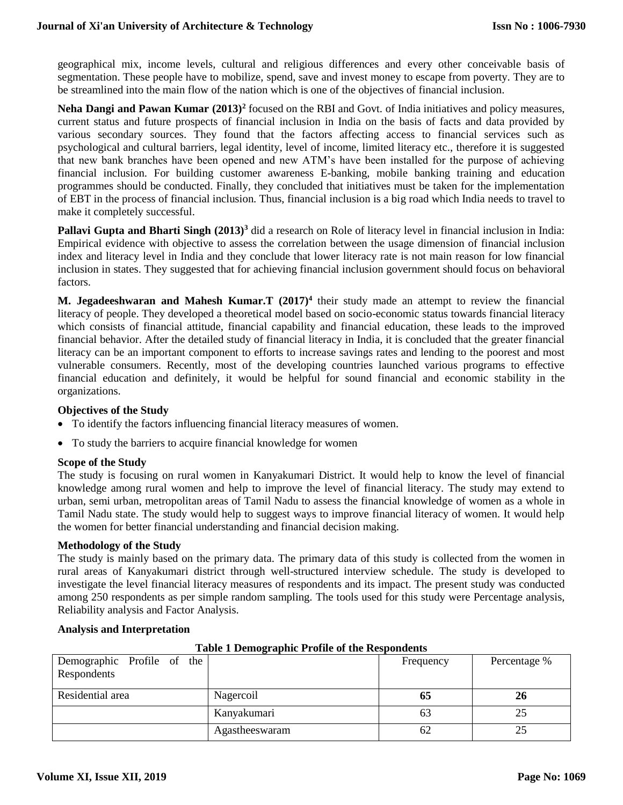geographical mix, income levels, cultural and religious differences and every other conceivable basis of segmentation. These people have to mobilize, spend, save and invest money to escape from poverty. They are to be streamlined into the main flow of the nation which is one of the objectives of financial inclusion.

**Neha Dangi and Pawan Kumar (2013)<sup>2</sup>** focused on the RBI and Govt. of India initiatives and policy measures, current status and future prospects of financial inclusion in India on the basis of facts and data provided by various secondary sources. They found that the factors affecting access to financial services such as psychological and cultural barriers, legal identity, level of income, limited literacy etc., therefore it is suggested that new bank branches have been opened and new ATM's have been installed for the purpose of achieving financial inclusion. For building customer awareness E-banking, mobile banking training and education programmes should be conducted. Finally, they concluded that initiatives must be taken for the implementation of EBT in the process of financial inclusion. Thus, financial inclusion is a big road which India needs to travel to make it completely successful.

**Pallavi Gupta and Bharti Singh (2013)<sup>3</sup>** did a research on Role of literacy level in financial inclusion in India: Empirical evidence with objective to assess the correlation between the usage dimension of financial inclusion index and literacy level in India and they conclude that lower literacy rate is not main reason for low financial inclusion in states. They suggested that for achieving financial inclusion government should focus on behavioral factors.

**M. Jegadeeshwaran and Mahesh Kumar.T (2017)<sup>4</sup>** their study made an attempt to review the financial literacy of people. They developed a theoretical model based on socio-economic status towards financial literacy which consists of financial attitude, financial capability and financial education, these leads to the improved financial behavior. After the detailed study of financial literacy in India, it is concluded that the greater financial literacy can be an important component to efforts to increase savings rates and lending to the poorest and most vulnerable consumers. Recently, most of the developing countries launched various programs to effective financial education and definitely, it would be helpful for sound financial and economic stability in the organizations.

## **Objectives of the Study**

- To identify the factors influencing financial literacy measures of women.
- To study the barriers to acquire financial knowledge for women

#### **Scope of the Study**

The study is focusing on rural women in Kanyakumari District. It would help to know the level of financial knowledge among rural women and help to improve the level of financial literacy. The study may extend to urban, semi urban, metropolitan areas of Tamil Nadu to assess the financial knowledge of women as a whole in Tamil Nadu state. The study would help to suggest ways to improve financial literacy of women. It would help the women for better financial understanding and financial decision making.

#### **Methodology of the Study**

The study is mainly based on the primary data. The primary data of this study is collected from the women in rural areas of Kanyakumari district through well-structured interview schedule. The study is developed to investigate the level financial literacy measures of respondents and its impact. The present study was conducted among 250 respondents as per simple random sampling. The tools used for this study were Percentage analysis, Reliability analysis and Factor Analysis.

#### **Analysis and Interpretation**

| Table 1 Demographic 1 roune of the Respondents |                |           |              |  |  |  |
|------------------------------------------------|----------------|-----------|--------------|--|--|--|
| Demographic Profile of the                     |                | Frequency | Percentage % |  |  |  |
| Respondents                                    |                |           |              |  |  |  |
| Residential area                               | Nagercoil      | 65        | 26           |  |  |  |
|                                                | Kanyakumari    | 63        |              |  |  |  |
|                                                | Agastheeswaram | 62        |              |  |  |  |

## **Table 1 Demographic Profile of the Respondents**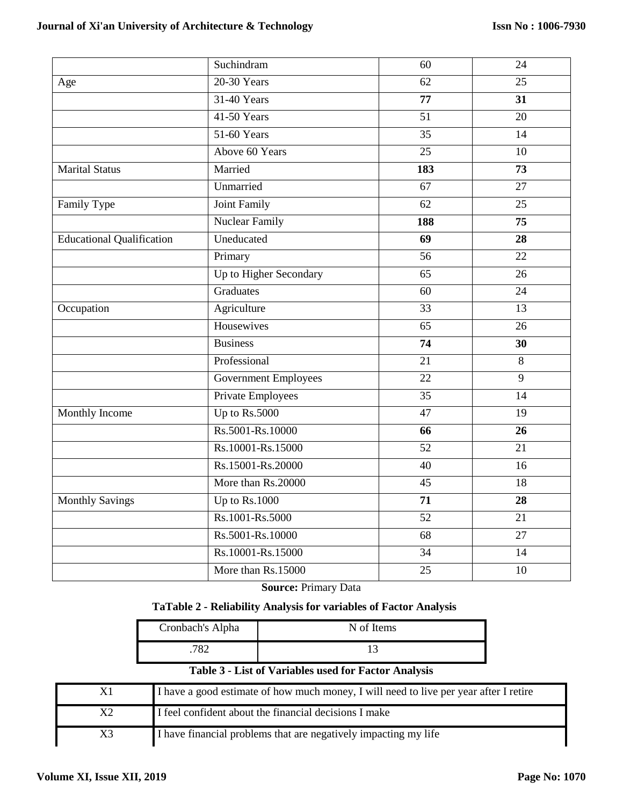|                                  | Suchindram                  | 60              | 24              |
|----------------------------------|-----------------------------|-----------------|-----------------|
| Age                              | 20-30 Years                 | 62              | 25              |
|                                  | 31-40 Years                 | 77              | 31              |
|                                  | 41-50 Years                 | 51              | 20              |
|                                  | 51-60 Years                 | $\overline{35}$ | $\overline{14}$ |
|                                  | Above 60 Years              | 25              | 10              |
| <b>Marital Status</b>            | Married                     | 183             | 73              |
|                                  | Unmarried                   | 67              | 27              |
| Family Type                      | <b>Joint Family</b>         | 62              | 25              |
|                                  | <b>Nuclear Family</b>       | 188             | $\overline{75}$ |
| <b>Educational Qualification</b> | Uneducated                  | 69              | 28              |
|                                  | Primary                     | 56              | 22              |
|                                  | Up to Higher Secondary      | 65              | 26              |
|                                  | Graduates                   | 60              | 24              |
| Occupation                       | Agriculture                 | 33              | 13              |
|                                  | Housewives                  | 65              | 26              |
|                                  | <b>Business</b>             | $\overline{74}$ | $\overline{30}$ |
|                                  | Professional                | 21              | 8               |
|                                  | <b>Government Employees</b> | $\overline{22}$ | $\overline{9}$  |
|                                  | Private Employees           | 35              | 14              |
| Monthly Income                   | Up to Rs.5000               | 47              | 19              |
|                                  | Rs.5001-Rs.10000            | 66              | 26              |
|                                  | Rs.10001-Rs.15000           | $\overline{52}$ | $\overline{21}$ |
|                                  | Rs.15001-Rs.20000           | 40              | 16              |
|                                  | More than Rs.20000          | 45              | 18              |
| <b>Monthly Savings</b>           | Up to Rs.1000               | 71              | 28              |
|                                  | Rs.1001-Rs.5000             | $\overline{52}$ | $\overline{21}$ |
|                                  | Rs.5001-Rs.10000            | 68              | $\overline{27}$ |
|                                  | Rs.10001-Rs.15000           | $\overline{34}$ | $\overline{14}$ |
|                                  | More than Rs.15000          | 25              | 10              |
|                                  |                             |                 |                 |

**Source:** Primary Data

# **TaTable 2 - Reliability Analysis for variables of Factor Analysis**

| Cronbach's Alpha | N of Items |
|------------------|------------|
| 782              |            |

# **Table 3 - List of Variables used for Factor Analysis**

| X1 | I have a good estimate of how much money, I will need to live per year after I retire |
|----|---------------------------------------------------------------------------------------|
|    | I feel confident about the financial decisions I make                                 |
| X3 | I have financial problems that are negatively impacting my life                       |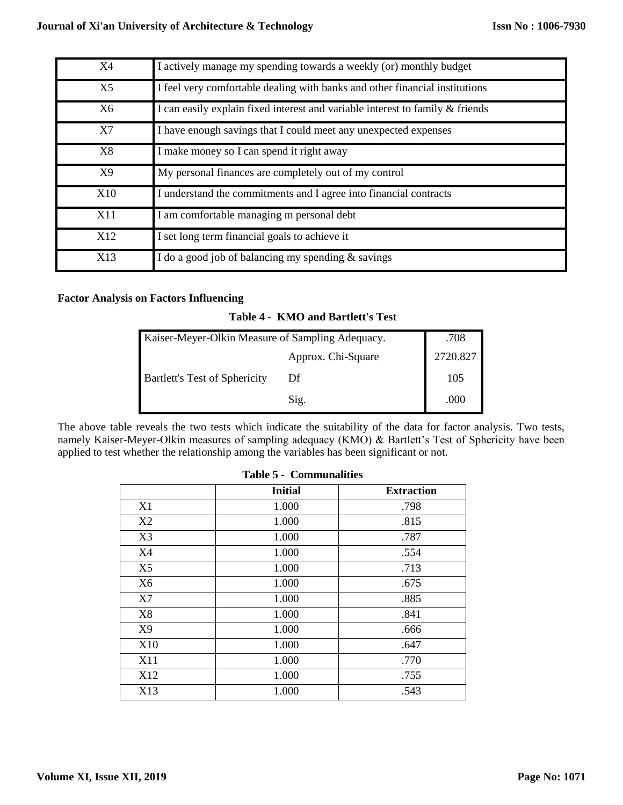| X4              | I actively manage my spending towards a weekly (or) monthly budget            |
|-----------------|-------------------------------------------------------------------------------|
| X <sub>5</sub>  | I feel very comfortable dealing with banks and other financial institutions   |
| X6              | I can easily explain fixed interest and variable interest to family & friends |
| X7              | I have enough savings that I could meet any unexpected expenses               |
| X8              | I make money so I can spend it right away                                     |
| X9              | My personal finances are completely out of my control                         |
| X10             | I understand the commitments and I agree into financial contracts             |
| X11             | I am comfortable managing m personal debt                                     |
| X <sub>12</sub> | I set long term financial goals to achieve it                                 |
| X13             | I do a good job of balancing my spending & savings                            |

## **Factor Analysis on Factors Influencing**

## **Table 4 - KMO and Bartlett's Test**

| Kaiser-Meyer-Olkin Measure of Sampling Adequacy. | .708               |          |
|--------------------------------------------------|--------------------|----------|
|                                                  | Approx. Chi-Square | 2720.827 |
| <b>Bartlett's Test of Sphericity</b>             | Df                 | 105      |
|                                                  | Sig.               | .000     |

The above table reveals the two tests which indicate the suitability of the data for factor analysis. Two tests, namely Kaiser-Meyer-Olkin measures of sampling adequacy (KMO) & Bartlett's Test of Sphericity have been applied to test whether the relationship among the variables has been significant or not.

## **Table 5 - Communalities**

|                | <b>Initial</b> | <b>Extraction</b> |
|----------------|----------------|-------------------|
| X1             | 1.000          | .798              |
| X2             | 1.000          | .815              |
| X3             | 1.000          | .787              |
| X4             | 1.000          | .554              |
| X <sub>5</sub> | 1.000          | .713              |
| X <sub>6</sub> | 1.000          | .675              |
| X7             | 1.000          | .885              |
| X8             | 1.000          | .841              |
| X9             | 1.000          | .666              |
| X10            | 1.000          | .647              |
| X11            | 1.000          | .770              |
| X12            | 1.000          | .755              |
| X13            | 1.000          | .543              |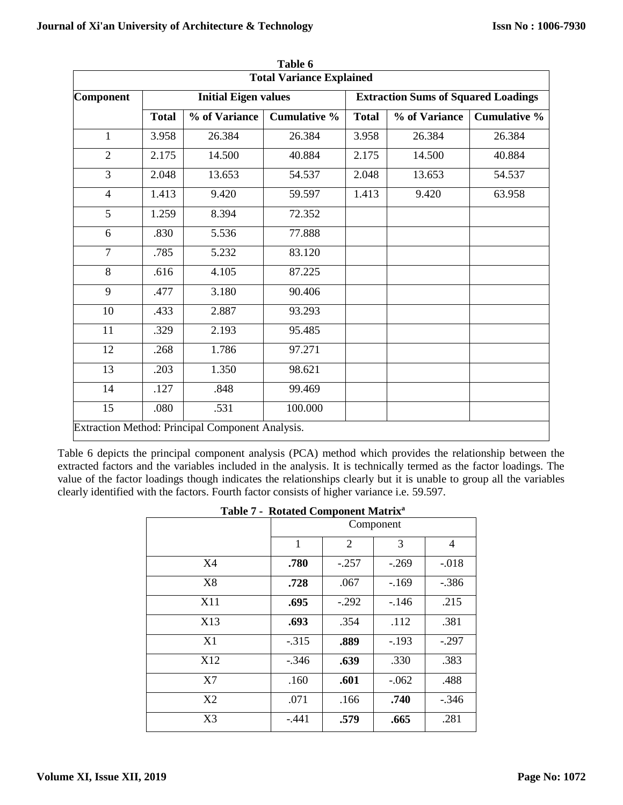|                                 |              |                                                  | Table 6             |                                            |               |                     |
|---------------------------------|--------------|--------------------------------------------------|---------------------|--------------------------------------------|---------------|---------------------|
| <b>Total Variance Explained</b> |              |                                                  |                     |                                            |               |                     |
| <b>Component</b>                |              | <b>Initial Eigen values</b>                      |                     | <b>Extraction Sums of Squared Loadings</b> |               |                     |
|                                 | <b>Total</b> | % of Variance                                    | <b>Cumulative %</b> | <b>Total</b>                               | % of Variance | <b>Cumulative %</b> |
| 1                               | 3.958        | 26.384                                           | 26.384              | 3.958                                      | 26.384        | 26.384              |
| $\overline{2}$                  | 2.175        | 14.500                                           | 40.884              | 2.175                                      | 14.500        | 40.884              |
| 3                               | 2.048        | 13.653                                           | 54.537              | 2.048                                      | 13.653        | 54.537              |
| $\overline{4}$                  | 1.413        | 9.420                                            | 59.597              | 1.413                                      | 9.420         | 63.958              |
| 5                               | 1.259        | 8.394                                            | 72.352              |                                            |               |                     |
| 6                               | .830         | 5.536                                            | 77.888              |                                            |               |                     |
| $\overline{7}$                  | .785         | 5.232                                            | 83.120              |                                            |               |                     |
| 8                               | .616         | 4.105                                            | 87.225              |                                            |               |                     |
| 9                               | .477         | 3.180                                            | 90.406              |                                            |               |                     |
| 10                              | .433         | 2.887                                            | 93.293              |                                            |               |                     |
| 11                              | .329         | 2.193                                            | 95.485              |                                            |               |                     |
| 12                              | .268         | 1.786                                            | 97.271              |                                            |               |                     |
| 13                              | .203         | 1.350                                            | 98.621              |                                            |               |                     |
| 14                              | .127         | .848                                             | 99.469              |                                            |               |                     |
| 15                              | .080         | .531                                             | 100.000             |                                            |               |                     |
|                                 |              | Extraction Method: Principal Component Analysis. |                     |                                            |               |                     |

Table 6 depicts the principal component analysis (PCA) method which provides the relationship between the extracted factors and the variables included in the analysis. It is technically termed as the factor loadings. The value of the factor loadings though indicates the relationships clearly but it is unable to group all the variables clearly identified with the factors. Fourth factor consists of higher variance i.e. 59.597.

| Table 7 - Rotated Component Matrix |         |                |         |         |  |
|------------------------------------|---------|----------------|---------|---------|--|
|                                    |         | Component      |         |         |  |
|                                    | 1       | $\overline{2}$ | 3       | 4       |  |
| X4                                 | .780    | $-.257$        | $-.269$ | $-.018$ |  |
| X8                                 | .728    | .067           | $-169$  | $-.386$ |  |
| X11                                | .695    | $-.292$        | $-146$  | .215    |  |
| X13                                | .693    | .354           | .112    | .381    |  |
| X1                                 | $-.315$ | .889           | $-.193$ | $-.297$ |  |
| X12                                | $-.346$ | .639           | .330    | .383    |  |
| X7                                 | .160    | .601           | $-.062$ | .488    |  |
| X2                                 | .071    | .166           | .740    | $-.346$ |  |
| X3                                 | $-.441$ | .579           | .665    | .281    |  |
|                                    |         |                |         |         |  |

|  |  | Table 7 - Rotated Component Matrix <sup>a</sup> |  |
|--|--|-------------------------------------------------|--|
|--|--|-------------------------------------------------|--|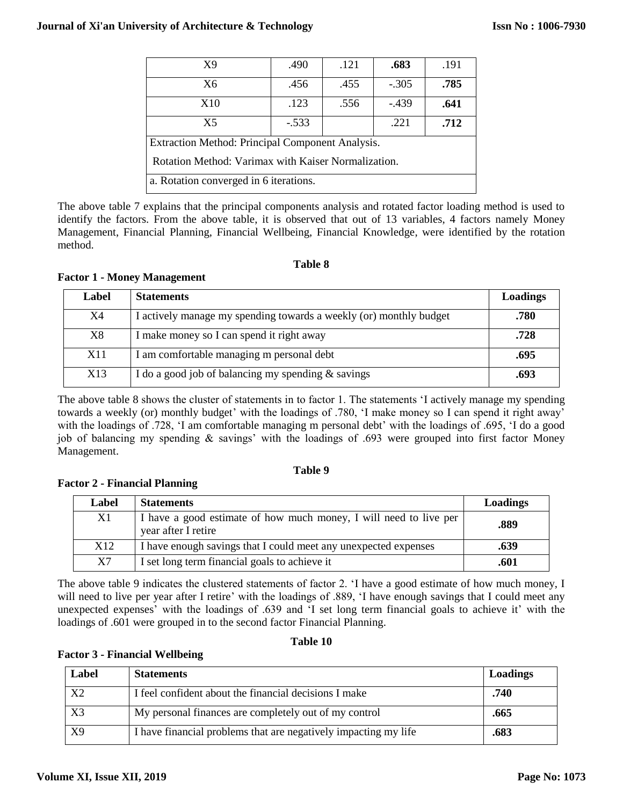| X <sub>9</sub>                                      | .490    | .121 | .683    | .191 |  |
|-----------------------------------------------------|---------|------|---------|------|--|
| X6                                                  | .456    | .455 | $-.305$ | .785 |  |
| X10                                                 | .123    | .556 | $-439$  | .641 |  |
| X <sub>5</sub>                                      | $-.533$ |      | .221    | .712 |  |
| Extraction Method: Principal Component Analysis.    |         |      |         |      |  |
| Rotation Method: Varimax with Kaiser Normalization. |         |      |         |      |  |
| a. Rotation converged in 6 iterations.              |         |      |         |      |  |

The above table 7 explains that the principal components analysis and rotated factor loading method is used to identify the factors. From the above table, it is observed that out of 13 variables, 4 factors namely Money Management, Financial Planning, Financial Wellbeing, Financial Knowledge, were identified by the rotation method.

## **Table 8**

## **Factor 1 - Money Management**

| Label | <b>Statements</b>                                                  | Loadings |
|-------|--------------------------------------------------------------------|----------|
| X4    | I actively manage my spending towards a weekly (or) monthly budget | .780     |
| X8    | I make money so I can spend it right away                          | .728     |
| X11   | I am comfortable managing m personal debt                          | .695     |
| X13   | I do a good job of balancing my spending $&$ savings               | .693     |

The above table 8 shows the cluster of statements in to factor 1. The statements 'I actively manage my spending towards a weekly (or) monthly budget' with the loadings of .780, 'I make money so I can spend it right away' with the loadings of .728, 'I am comfortable managing m personal debt' with the loadings of .695, 'I do a good job of balancing my spending & savings' with the loadings of .693 were grouped into first factor Money Management.

## **Table 9**

## **Factor 2 - Financial Planning**

| Label           | <b>Statements</b>                                                                        | <b>Loadings</b> |
|-----------------|------------------------------------------------------------------------------------------|-----------------|
| X1              | I have a good estimate of how much money, I will need to live per<br>year after I retire | .889            |
| X <sub>12</sub> | I have enough savings that I could meet any unexpected expenses                          | .639            |
| X7              | I set long term financial goals to achieve it                                            | .601            |

The above table 9 indicates the clustered statements of factor 2. 'I have a good estimate of how much money, I will need to live per year after I retire' with the loadings of .889, 'I have enough savings that I could meet any unexpected expenses' with the loadings of .639 and 'I set long term financial goals to achieve it' with the loadings of .601 were grouped in to the second factor Financial Planning.

## **Table 10**

## **Factor 3 - Financial Wellbeing**

| Label          | <b>Statements</b>                                               | Loadings |
|----------------|-----------------------------------------------------------------|----------|
| X <sub>2</sub> | I feel confident about the financial decisions I make           | .740     |
| X <sub>3</sub> | My personal finances are completely out of my control           | .665     |
| X9             | I have financial problems that are negatively impacting my life | .683     |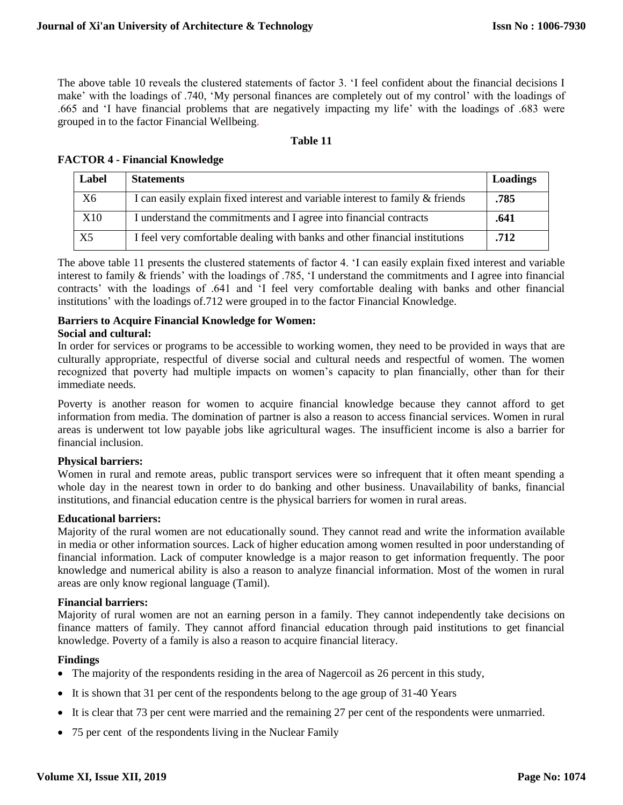The above table 10 reveals the clustered statements of factor 3. 'I feel confident about the financial decisions I make' with the loadings of .740, 'My personal finances are completely out of my control' with the loadings of .665 and 'I have financial problems that are negatively impacting my life' with the loadings of .683 were grouped in to the factor Financial Wellbeing.

## **Table 11**

| Label          | <b>Statements</b>                                                             | Loadings |
|----------------|-------------------------------------------------------------------------------|----------|
| X6             | I can easily explain fixed interest and variable interest to family & friends | .785     |
| X10            | I understand the commitments and I agree into financial contracts             | .641     |
| X <sub>5</sub> | I feel very comfortable dealing with banks and other financial institutions   | .712     |

## **FACTOR 4 - Financial Knowledge**

The above table 11 presents the clustered statements of factor 4. 'I can easily explain fixed interest and variable interest to family & friends' with the loadings of .785, 'I understand the commitments and I agree into financial contracts' with the loadings of .641 and 'I feel very comfortable dealing with banks and other financial institutions' with the loadings of.712 were grouped in to the factor Financial Knowledge.

## **Barriers to Acquire Financial Knowledge for Women:**

## **Social and cultural:**

In order for services or programs to be accessible to working women, they need to be provided in ways that are culturally appropriate, respectful of diverse social and cultural needs and respectful of women. The women recognized that poverty had multiple impacts on women's capacity to plan financially, other than for their immediate needs.

Poverty is another reason for women to acquire financial knowledge because they cannot afford to get information from media. The domination of partner is also a reason to access financial services. Women in rural areas is underwent tot low payable jobs like agricultural wages. The insufficient income is also a barrier for financial inclusion.

## **Physical barriers:**

Women in rural and remote areas, public transport services were so infrequent that it often meant spending a whole day in the nearest town in order to do banking and other business. Unavailability of banks, financial institutions, and financial education centre is the physical barriers for women in rural areas.

## **Educational barriers:**

Majority of the rural women are not educationally sound. They cannot read and write the information available in media or other information sources. Lack of higher education among women resulted in poor understanding of financial information. Lack of computer knowledge is a major reason to get information frequently. The poor knowledge and numerical ability is also a reason to analyze financial information. Most of the women in rural areas are only know regional language (Tamil).

#### **Financial barriers:**

Majority of rural women are not an earning person in a family. They cannot independently take decisions on finance matters of family. They cannot afford financial education through paid institutions to get financial knowledge. Poverty of a family is also a reason to acquire financial literacy.

#### **Findings**

- The majority of the respondents residing in the area of Nagercoil as 26 percent in this study,
- It is shown that 31 per cent of the respondents belong to the age group of 31-40 Years
- It is clear that 73 per cent were married and the remaining 27 per cent of the respondents were unmarried.
- 75 per cent of the respondents living in the Nuclear Family